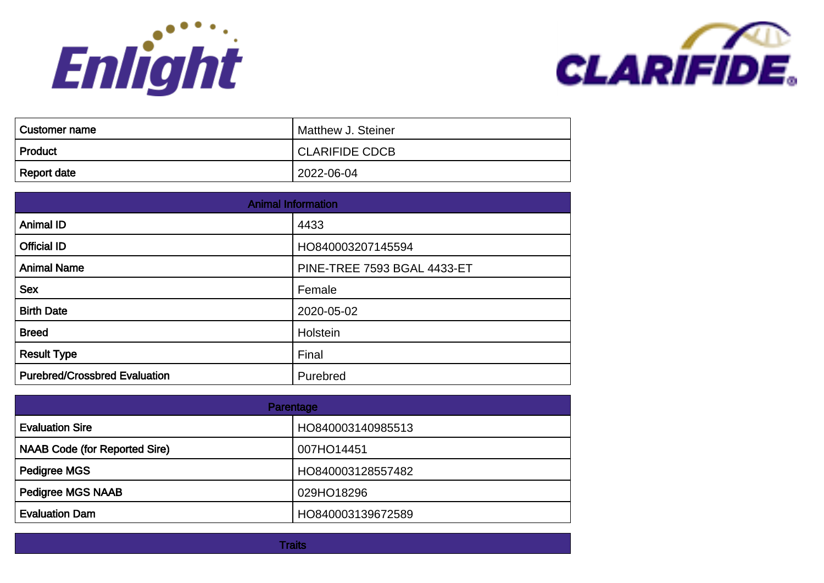



| <b>Customer name</b> | Matthew J. Steiner    |
|----------------------|-----------------------|
| Product              | <b>CLARIFIDE CDCB</b> |
| Report date          | l 2022-06-04          |

| <b>Animal Information</b>            |                                    |
|--------------------------------------|------------------------------------|
| <b>Animal ID</b>                     | 4433                               |
| <b>Official ID</b>                   | HO840003207145594                  |
| <b>Animal Name</b>                   | <b>PINE-TREE 7593 BGAL 4433-ET</b> |
| <b>Sex</b>                           | Female                             |
| <b>Birth Date</b>                    | 2020-05-02                         |
| <b>Breed</b>                         | Holstein                           |
| <b>Result Type</b>                   | Final                              |
| <b>Purebred/Crossbred Evaluation</b> | Purebred                           |

| Parentage                            |                   |
|--------------------------------------|-------------------|
| <b>Evaluation Sire</b>               | HO840003140985513 |
| <b>NAAB Code (for Reported Sire)</b> | 007HO14451        |
| <b>Pedigree MGS</b>                  | HO840003128557482 |
| <b>Pedigree MGS NAAB</b>             | 029HO18296        |
| <b>Evaluation Dam</b>                | HO840003139672589 |

**Traits**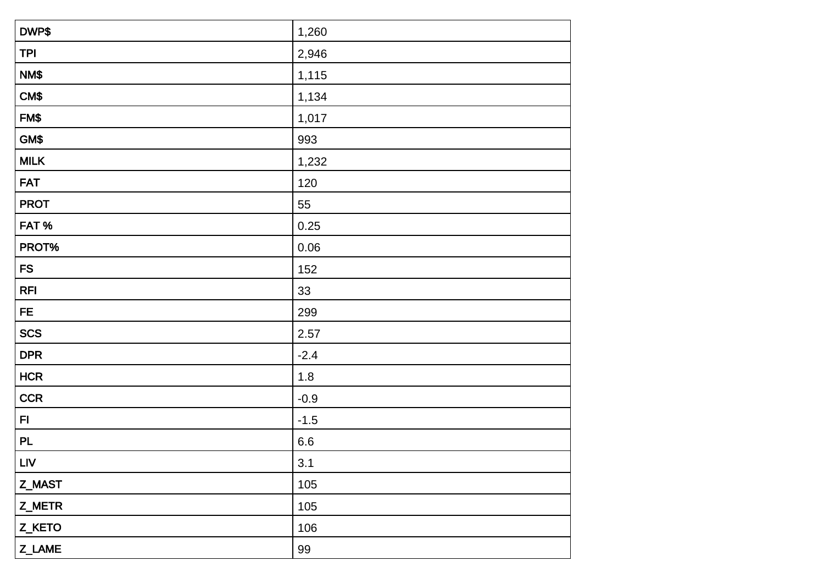| DWP\$       | 1,260   |
|-------------|---------|
| <b>TPI</b>  | 2,946   |
| NM\$        | 1,115   |
| CM\$        | 1,134   |
| FM\$        | 1,017   |
| GM\$        | 993     |
| <b>MILK</b> | 1,232   |
| <b>FAT</b>  | 120     |
| <b>PROT</b> | 55      |
| FAT%        | 0.25    |
| PROT%       | 0.06    |
| ${\sf FS}$  | 152     |
| <b>RFI</b>  | 33      |
| <b>FE</b>   | 299     |
| <b>SCS</b>  | 2.57    |
| <b>DPR</b>  | $-2.4$  |
| <b>HCR</b>  | 1.8     |
| <b>CCR</b>  | $-0.9$  |
| F1          | $-1.5$  |
| <b>PL</b>   | $6.6\,$ |
| <b>LIV</b>  | 3.1     |
| Z_MAST      | 105     |
| Z_METR      | 105     |
| Z_KETO      | 106     |
| Z_LAME      | 99      |
|             |         |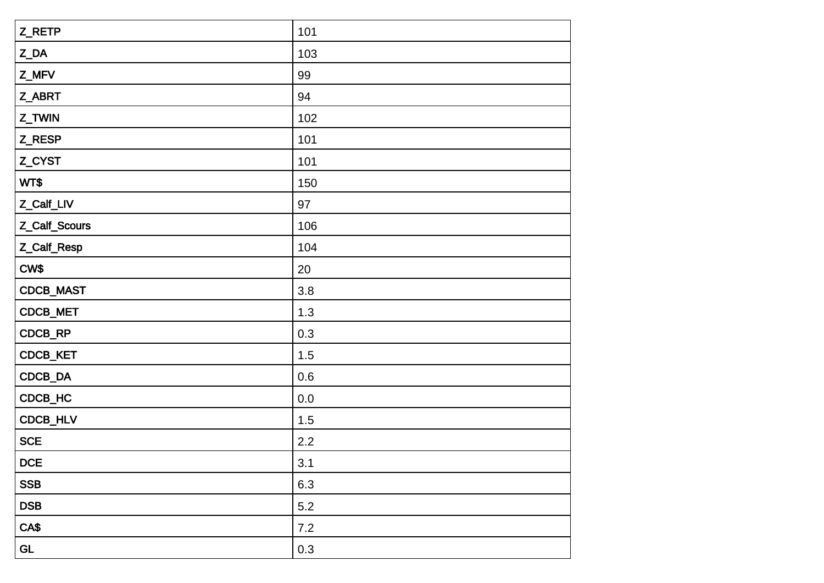| Z_RETP               | 101     |
|----------------------|---------|
| $Z$ <sub></sub> $DA$ | 103     |
| Z_MFV                | 99      |
| Z_ABRT               | 94      |
| Z_TWIN               | 102     |
| Z_RESP               | 101     |
| Z_CYST               | 101     |
| WT\$                 | 150     |
| Z_Calf_LIV           | 97      |
| Z_Calf_Scours        | 106     |
| Z_Calf_Resp          | 104     |
| CW\$                 | 20      |
| CDCB_MAST            | 3.8     |
| CDCB_MET             | 1.3     |
| CDCB_RP              | 0.3     |
| CDCB_KET             | 1.5     |
| CDCB_DA              | 0.6     |
| CDCB_HC              | $0.0\,$ |
| CDCB_HLV             | 1.5     |
| <b>SCE</b>           | 2.2     |
| DCE                  | 3.1     |
| <b>SSB</b>           | 6.3     |
| <b>DSB</b>           | 5.2     |
| CA\$                 | $7.2$   |
| GL                   | 0.3     |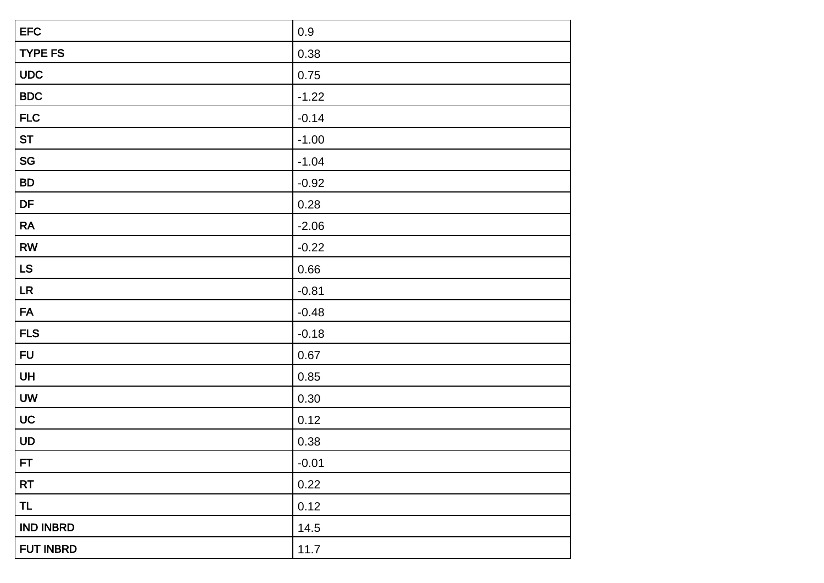| <b>EFC</b>       | $0.9\,$ |
|------------------|---------|
| <b>TYPE FS</b>   | 0.38    |
| <b>UDC</b>       | 0.75    |
| <b>BDC</b>       | $-1.22$ |
| <b>FLC</b>       | $-0.14$ |
| <b>ST</b>        | $-1.00$ |
| SG               | $-1.04$ |
| <b>BD</b>        | $-0.92$ |
| DF               | 0.28    |
| RA               | $-2.06$ |
| RW               | $-0.22$ |
| LS               | 0.66    |
| LR               | $-0.81$ |
| <b>FA</b>        | $-0.48$ |
| <b>FLS</b>       | $-0.18$ |
| <b>FU</b>        | 0.67    |
| UH               | 0.85    |
| <b>UW</b>        | 0.30    |
| UC               | 0.12    |
| UD               | 0.38    |
| FT               | $-0.01$ |
| <b>RT</b>        | 0.22    |
| <b>TL</b>        | 0.12    |
| <b>IND INBRD</b> | 14.5    |
| FUT INBRD        | 11.7    |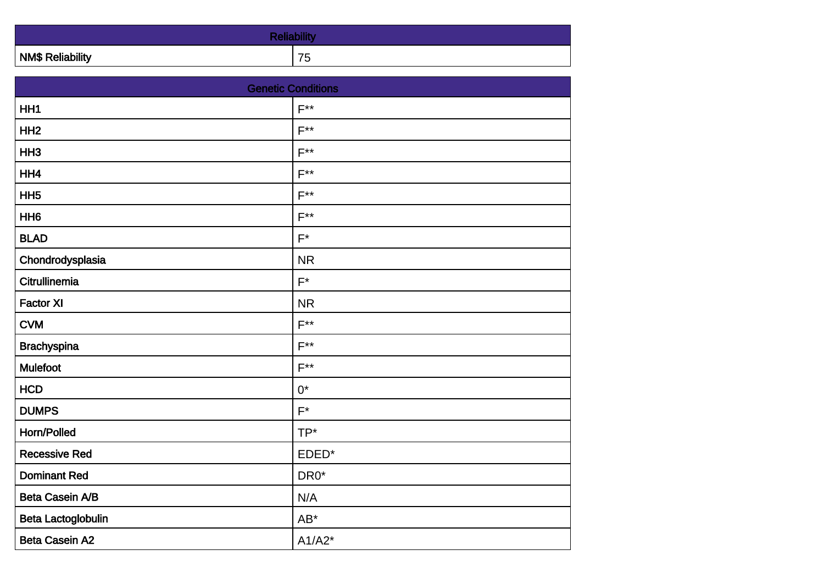| <b>NM\$ Reliability</b> | $\rightarrow$ $\rightarrow$<br>∽<br>ں ، |
|-------------------------|-----------------------------------------|

| <b>Genetic Conditions</b> |                  |
|---------------------------|------------------|
| HH <sub>1</sub>           | $F^{**}$         |
| HH <sub>2</sub>           | $F^{\ast\ast}$   |
| HH <sub>3</sub>           | $F^{**}$         |
| HH4                       | $F^{\ast\ast}$   |
| HH <sub>5</sub>           | $F^{\star\star}$ |
| HH <sub>6</sub>           | $F^{**}$         |
| <b>BLAD</b>               | $F^*$            |
| Chondrodysplasia          | <b>NR</b>        |
| Citrullinemia             | $F^*$            |
| <b>Factor XI</b>          | <b>NR</b>        |
| <b>CVM</b>                | $F^{**}$         |
| <b>Brachyspina</b>        | $F^{\ast\ast}$   |
| <b>Mulefoot</b>           | $F^{**}$         |
| <b>HCD</b>                | $0^*$            |
| <b>DUMPS</b>              | $F^*$            |
| Horn/Polled               | TP*              |
| <b>Recessive Red</b>      | EDED*            |
| <b>Dominant Red</b>       | DR0*             |
| Beta Casein A/B           | N/A              |
| Beta Lactoglobulin        | $AB^*$           |
| <b>Beta Casein A2</b>     | $A1/A2*$         |